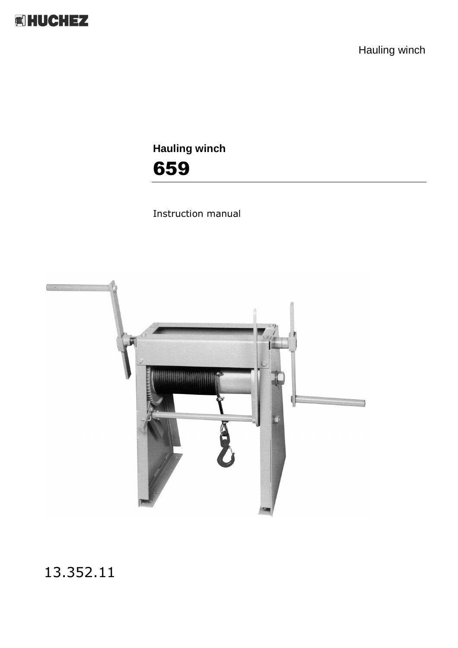

Hauling winch

**Hauling winch** 659

Instruction manual



13.352.11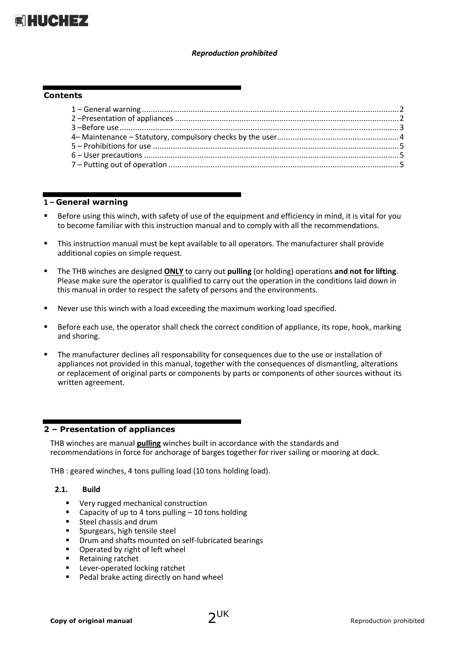

#### *Reproduction prohibited*

#### **Contents**

#### <span id="page-1-0"></span>**1 – General warning**

- Before using this winch, with safety of use of the equipment and efficiency in mind, it is vital for you to become familiar with this instruction manual and to comply with all the recommendations.
- This instruction manual must be kept available to all operators. The manufacturer shall provide additional copies on simple request.
- The THB winches are designed **ONLY** to carry out **pulling** (or holding) operations **and not for lifting**. Please make sure the operator is qualified to carry out the operation in the conditions laid down in this manual in order to respect the safety of persons and the environments.
- Never use this winch with a load exceeding the maximum working load specified.
- Before each use, the operator shall check the correct condition of appliance, its rope, hook, marking and shoring.
- The manufacturer declines all responsability for consequences due to the use or installation of appliances not provided in this manual, together with the consequences of dismantling, alterations or replacement of original parts or components by parts or components of other sources without its written agreement.

## <span id="page-1-1"></span>**2 – Presentation of appliances**

THB winches are manual **pulling** winches built in accordance with the standards and recommendations in force for anchorage of barges together for river sailing or mooring at dock.

THB : geared winches, 4 tons pulling load (10 tons holding load).

#### **2.1. Build**

- **Very rugged mechanical construction**
- Capacity of up to 4 tons pulling 10 tons holding
- Steel chassis and drum
- Spurgears, high tensile steel
- Drum and shafts mounted on self-lubricated bearings
- Operated by right of left wheel
- Retaining ratchet
- **Lever-operated locking ratchet**
- Pedal brake acting directly on hand wheel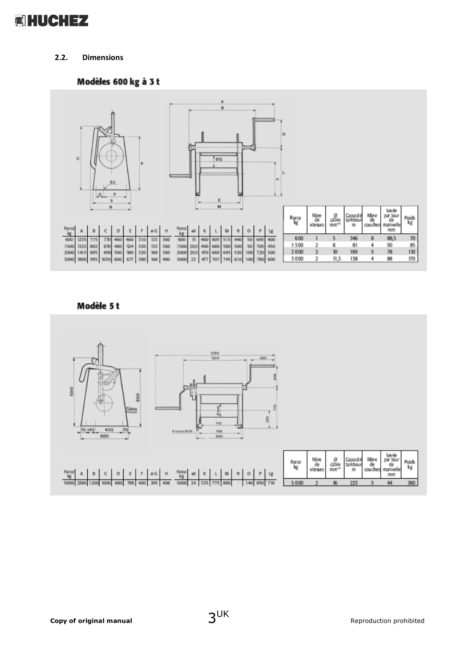

# **2.2. Dimensions**

# Modèles 600 kg à 3 t



# Modèle 5t

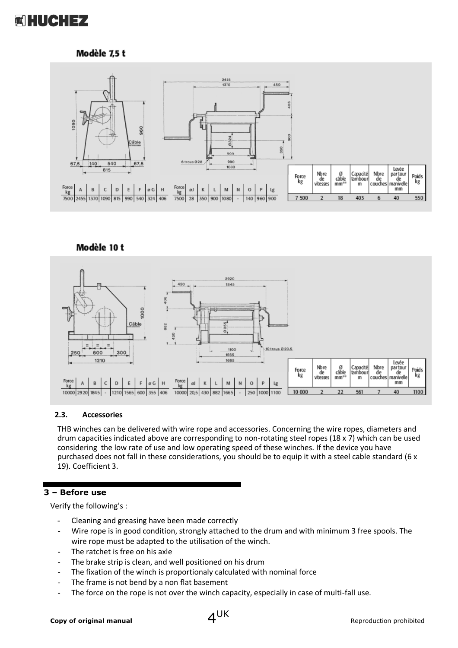

# Modèle 7,5 t



## Modèle 10 t



## **2.3. Accessories**

THB winches can be delivered with wire rope and accessories. Concerning the wire ropes, diameters and drum capacities indicated above are corresponding to non-rotating steel ropes (18 x 7) which can be used considering the low rate of use and low operating speed of these winches. If the device you have purchased does not fall in these considerations, you should be to equip it with a steel cable standard (6 x 19). Coefficient 3.

# **3 – Before use**

<span id="page-3-0"></span>Verify the following's :

- Cleaning and greasing have been made correctly
- Wire rope is in good condition, strongly attached to the drum and with minimum 3 free spools. The wire rope must be adapted to the utilisation of the winch.
- The ratchet is free on his axle
- The brake strip is clean, and well positioned on his drum
- The fixation of the winch is proportionaly calculated with nominal force
- The frame is not bend by a non flat basement
- The force on the rope is not over the winch capacity, especially in case of multi-fall use.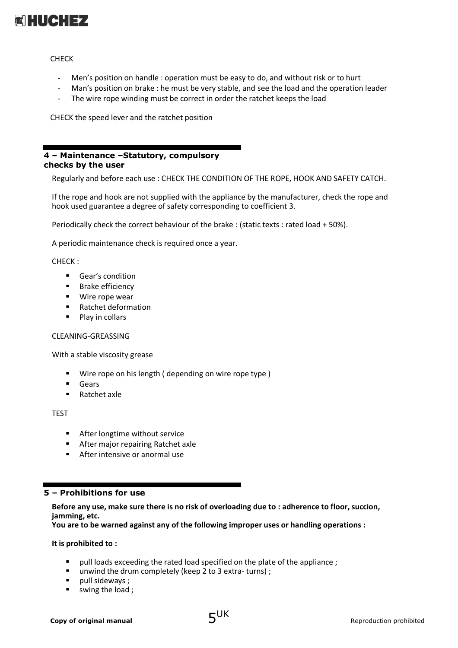

**CHFCK** 

- Men's position on handle : operation must be easy to do, and without risk or to hurt
- Man's position on brake : he must be very stable, and see the load and the operation leader
- The wire rope winding must be correct in order the ratchet keeps the load

CHECK the speed lever and the ratchet position

## **4 – Maintenance –Statutory, compulsory checks by the user**

Regularly and before each use : CHECK THE CONDITION OF THE ROPE, HOOK AND SAFETY CATCH.

If the rope and hook are not supplied with the appliance by the manufacturer, check the rope and hook used guarantee a degree of safety corresponding to coefficient 3.

Periodically check the correct behaviour of the brake : (static texts : rated load + 50%).

A periodic maintenance check is required once a year.

#### CHECK :

- **Gear's condition**
- **Brake efficiency**
- Wire rope wear
- Ratchet deformation
- Play in collars

#### CLEANING-GREASSING

With a stable viscosity grease

- Wire rope on his length ( depending on wire rope type )
- **Gears**
- Ratchet axle

TEST

- **After longtime without service**
- **After major repairing Ratchet axle**
- After intensive or anormal use

## <span id="page-4-0"></span>**5 – Prohibitions for use**

**Before any use, make sure there is no risk of overloading due to : adherence to floor, succion, jamming, etc.**

**You are to be warned against any of the following improper uses or handling operations :**

**It is prohibited to :**

- pull loads exceeding the rated load specified on the plate of the appliance ;
- unwind the drum completely (keep 2 to 3 extra- turns) ;
- $\blacksquare$  pull sideways ;
- swing the load ;